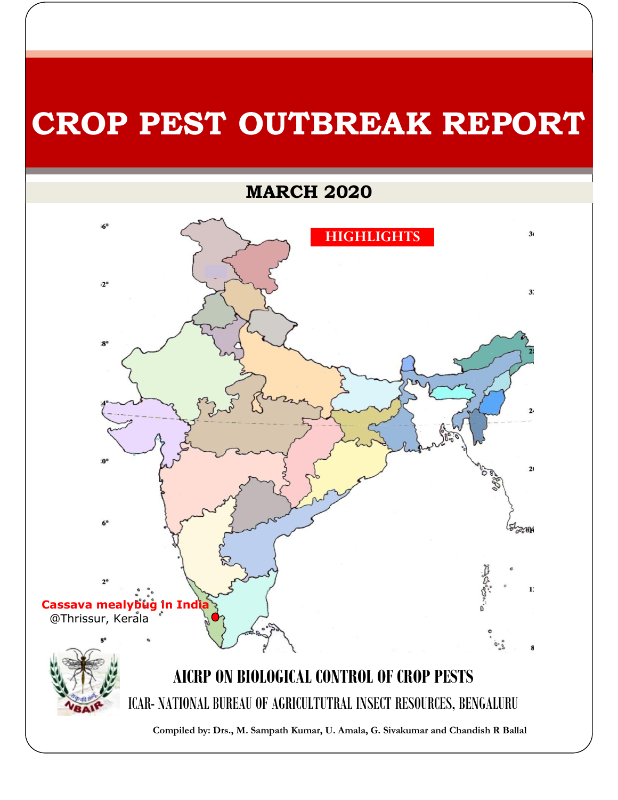# **CROP PEST OUTBREAK REPORT**

## **MARCH 2020**

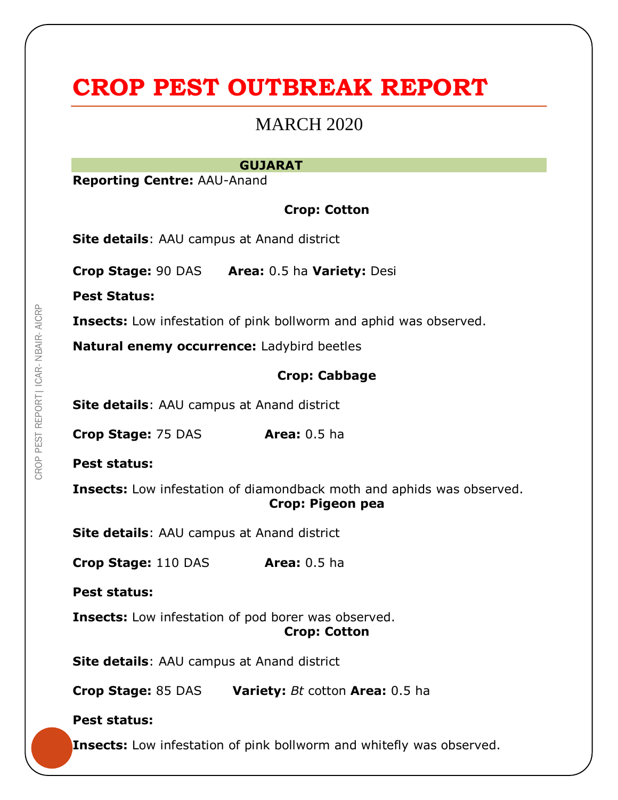# **CROP PEST OUTBREAK REPORT**

### MARCH 2020

#### **GUJARAT**

**Reporting Centre:** AAU-Anand

#### **Crop: Cotton**

**Site details**: AAU campus at Anand district

**Crop Stage:** 90 DAS **Area:** 0.5 ha **Variety:** Desi

**Pest Status:**

**Insects:** Low infestation of pink bollworm and aphid was observed.

**Natural enemy occurrence:** Ladybird beetles

#### **Crop: Cabbage**

**Site details**: AAU campus at Anand district

**Crop Stage:** 75 DAS **Area:** 0.5 ha

**Pest status:**

**Insects:** Low infestation of diamondback moth and aphids was observed. **Crop: Pigeon pea**

**Site details**: AAU campus at Anand district

**Crop Stage:** 110 DAS **Area:** 0.5 ha

**Pest status:**

**Insects:** Low infestation of pod borer was observed.

**Crop: Cotton**

**Site details**: AAU campus at Anand district

**Crop Stage:** 85 DAS **Variety:** *Bt* cotton **Area:** 0.5 ha

#### **Pest status:**

**Insects:** Low infestation of pink bollworm and whitefly was observed.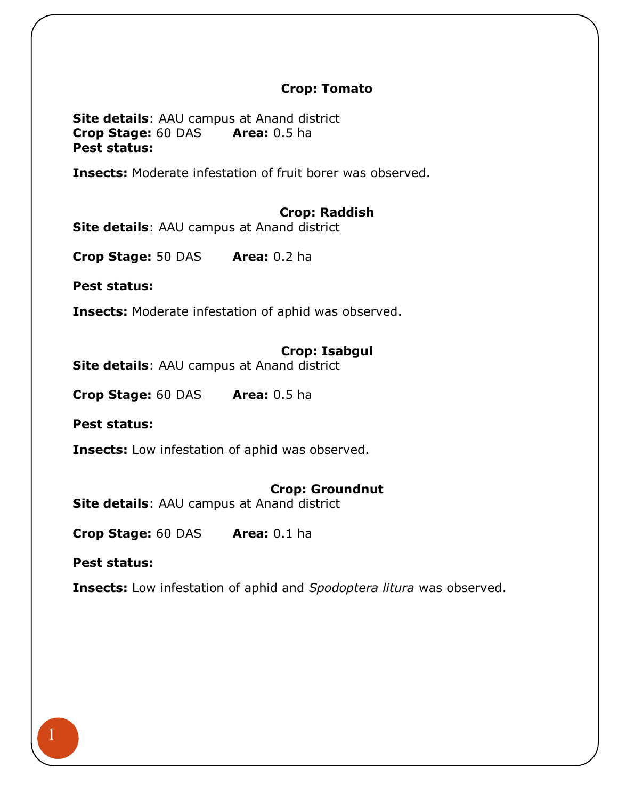#### **Crop: Tomato**

**Site details**: AAU campus at Anand district **Crop Stage:** 60 DAS **Area:** 0.5 ha **Pest status:**

**Insects:** Moderate infestation of fruit borer was observed.

#### **Crop: Raddish**

**Site details**: AAU campus at Anand district

**Crop Stage:** 50 DAS **Area:** 0.2 ha

**Pest status:**

**Insects:** Moderate infestation of aphid was observed.

#### **Crop: Isabgul**

**Site details**: AAU campus at Anand district

**Crop Stage:** 60 DAS **Area:** 0.5 ha

**Pest status:**

**Insects:** Low infestation of aphid was observed.

#### **Crop: Groundnut**

**Site details**: AAU campus at Anand district

**Crop Stage:** 60 DAS **Area:** 0.1 ha

**Pest status:**

**Insects:** Low infestation of aphid and *Spodoptera litura* was observed.